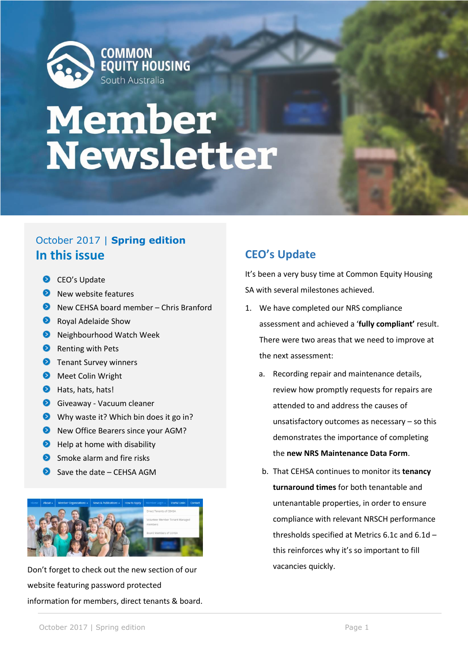

# **Member<br>Newsletter**

## October 2017 | **Spring edition In this issue**

- CEO's Update
- **O** New website features
- New CEHSA board member Chris Branford
- **8** Royal Adelaide Show
- **D** Neighbourhood Watch Week
- **Renting with Pets**
- **D** Tenant Survey winners
- **Meet Colin Wright**
- Hats, hats, hats!
- **Giveaway Vacuum cleaner**
- Why waste it? Which bin does it go in?
- **8** New Office Bearers since your AGM?
- $\bullet$  Help at home with disability
- Smoke alarm and fire risks
- Save the date  $-$  CEHSA AGM



vacancies quickly. Don't forget to check out the new section of our website featuring password protected information for members, direct tenants & board.

# **CEO's Update**

It's been a very busy time at Common Equity Housing SA with several milestones achieved.

- 1. We have completed our NRS compliance assessment and achieved a '**fully compliant'** result. There were two areas that we need to improve at the next assessment:
	- a. Recording repair and maintenance details, review how promptly requests for repairs are attended to and address the causes of unsatisfactory outcomes as necessary – so this demonstrates the importance of completing the **new NRS Maintenance Data Form**.
	- b. That CEHSA continues to monitor its **tenancy turnaround times** for both tenantable and untenantable properties, in order to ensure compliance with relevant NRSCH performance thresholds specified at Metrics 6.1c and 6.1d – this reinforces why it's so important to fill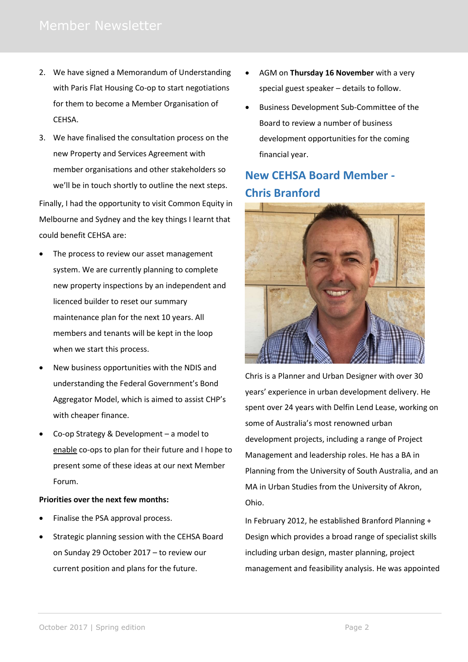- 2. We have signed a Memorandum of Understanding with Paris Flat Housing Co-op to start negotiations for them to become a Member Organisation of CEHSA.
- 3. We have finalised the consultation process on the new Property and Services Agreement with member organisations and other stakeholders so we'll be in touch shortly to outline the next steps.

Finally, I had the opportunity to visit Common Equity in Melbourne and Sydney and the key things I learnt that could benefit CEHSA are:

- The process to review our asset management system. We are currently planning to complete new property inspections by an independent and licenced builder to reset our summary maintenance plan for the next 10 years. All members and tenants will be kept in the loop when we start this process.
- New business opportunities with the NDIS and understanding the Federal Government's Bond Aggregator Model, which is aimed to assist CHP's with cheaper finance.
- Co-op Strategy & Development a model to enable co-ops to plan for their future and I hope to present some of these ideas at our next Member Forum.

#### **Priorities over the next few months:**

- Finalise the PSA approval process.
- Strategic planning session with the CEHSA Board on Sunday 29 October 2017 – to review our current position and plans for the future.
- AGM on **Thursday 16 November** with a very special guest speaker – details to follow.
- Business Development Sub-Committee of the Board to review a number of business development opportunities for the coming financial year.

## **New CEHSA Board Member - Chris Branford**



Chris is a Planner and Urban Designer with over 30 years' experience in urban development delivery. He spent over 24 years with Delfin Lend Lease, working on some of Australia's most renowned urban development projects, including a range of Project Management and leadership roles. He has a BA in Planning from the University of South Australia, and an MA in Urban Studies from the University of Akron, Ohio.

In February 2012, he established Branford Planning + Design which provides a broad range of specialist skills including urban design, master planning, project management and feasibility analysis. He was appointed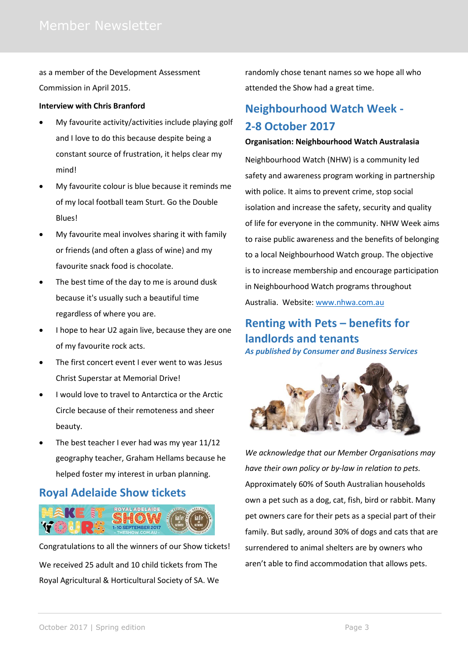as a member of the Development Assessment Commission in April 2015.

#### **Interview with Chris Branford**

- My favourite activity/activities include playing golf and I love to do this because despite being a constant source of frustration, it helps clear my mind!
- My favourite colour is blue because it reminds me of my local football team Sturt. Go the Double Blues!
- My favourite meal involves sharing it with family or friends (and often a glass of wine) and my favourite snack food is chocolate.
- The best time of the day to me is around dusk because it's usually such a beautiful time regardless of where you are.
- I hope to hear U2 again live, because they are one of my favourite rock acts.
- The first concert event I ever went to was Jesus Christ Superstar at Memorial Drive!
- I would love to travel to Antarctica or the Arctic Circle because of their remoteness and sheer beauty.
- The best teacher I ever had was my year 11/12 geography teacher, Graham Hellams because he helped foster my interest in urban planning.

#### **Royal Adelaide Show tickets**



Congratulations to all the winners of our Show tickets! We received 25 adult and 10 child tickets from The Royal Agricultural & Horticultural Society of SA. We

randomly chose tenant names so we hope all who attended the Show had a great time.

## **Neighbourhood Watch Week - 2-8 October 2017**

#### **Organisation: Neighbourhood Watch Australasia**

Neighbourhood Watch (NHW) is a community led safety and awareness program working in partnership with police. It aims to prevent crime, stop social isolation and increase the safety, security and quality of life for everyone in the community. NHW Week aims to raise public awareness and the benefits of belonging to a local Neighbourhood Watch group. The objective is to increase membership and encourage participation in Neighbourhood Watch programs throughout Australia. Website[: www.nhwa.com.au](http://www.nhwa.com.au/)

#### **Renting with Pets – benefits for landlords and tenants** *As published by Consumer and Business Services*



*We acknowledge that our Member Organisations may have their own policy or by-law in relation to pets.* Approximately 60% of South Australian households own a pet such as a dog, cat, fish, bird or rabbit. Many pet owners care for their pets as a special part of their family. But sadly, around 30% of dogs and cats that are surrendered to animal shelters are by owners who aren't able to find accommodation that allows pets.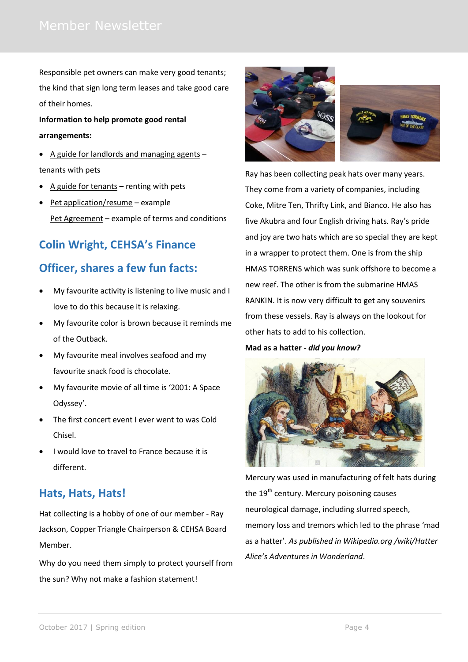Responsible pet owners can make very good tenants; the kind that sign long term leases and take good care of their homes.

**Information to help promote good rental arrangements:**

 A guide for landlords and managing agents – tenants with pets

- A guide for tenants renting with pets
- Pet application/resume example
- Pet Agreement example of terms and conditions

#### **Colin Wright, CEHSA's Finance**

#### **Officer, shares a few fun facts:**

- My favourite activity is listening to live music and I love to do this because it is relaxing.
- My favourite color is brown because it reminds me of the Outback.
- My favourite meal involves seafood and my favourite snack food is chocolate.
- My favourite movie of all time is '2001: A Space Odyssey'.
- The first concert event I ever went to was Cold Chisel.
- I would love to travel to France because it is different.

#### **Hats, Hats, Hats!**

Hat collecting is a hobby of one of our member - Ray Jackson, Copper Triangle Chairperson & CEHSA Board Member.

Why do you need them simply to protect yourself from the sun? Why not make a fashion statement!



Ray has been collecting peak hats over many years. They come from a variety of companies, including Coke, Mitre Ten, Thrifty Link, and Bianco. He also has five Akubra and four English driving hats. Ray's pride and joy are two hats which are so special they are kept in a wrapper to protect them. One is from the ship HMAS TORRENS which was sunk offshore to become a new reef. The other is from the submarine HMAS RANKIN. It is now very difficult to get any souvenirs from these vessels. Ray is always on the lookout for other hats to add to his collection.

**Mad as a hatter** *- did you know?*



Mercury was used in manufacturing of felt hats during the 19<sup>th</sup> century. Mercury poisoning causes neurological damage, including slurred speech, memory loss and tremors which led to the phrase 'mad as a hatter'. *As published in Wikipedia.org /wiki/Hatter Alice's Adventures in Wonderland*.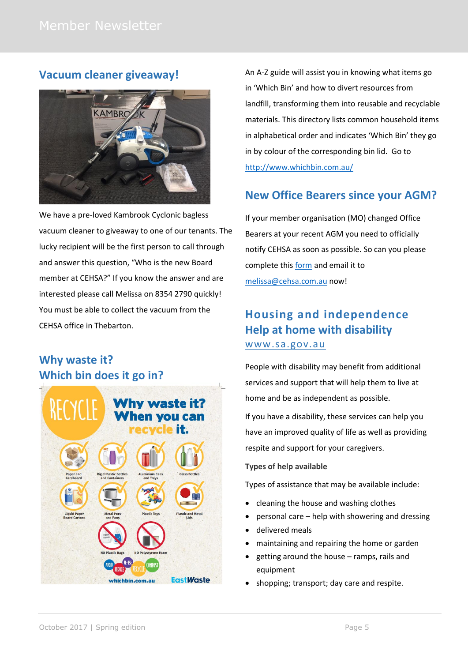#### **Vacuum cleaner giveaway!**



We have a pre-loved Kambrook Cyclonic bagless vacuum cleaner to giveaway to one of our tenants. The lucky recipient will be the first person to call through and answer this question, "Who is the new Board member at CEHSA?" If you know the answer and are interested please call Melissa on 8354 2790 quickly! You must be able to collect the vacuum from the CEHSA office in Thebarton.

## **Why waste it? Which bin does it go in?**



An A-Z guide will assist you in knowing what items go in 'Which Bin' and how to divert resources from landfill, transforming them into reusable and recyclable materials. This directory lists common household items in alphabetical order and indicates 'Which Bin' they go in by colour of the corresponding bin lid. Go to <http://www.whichbin.com.au/>

#### **New Office Bearers since your AGM?**

If your member organisation (MO) changed Office Bearers at your recent AGM you need to officially notify CEHSA as soon as possible. So can you please complete thi[s form](http://www.cehsa.com.au/wp-content/uploads/2015/06/Form-MOs-Office-Bearers-Notification.pdf) and email it to [melissa@cehsa.com.au](mailto:melissa@cehsa.com.au) now!

## **Housing and independence Help at home with disability** [www.sa.gov.au](http://www.sa.gov.au/)

People with disability may benefit from additional services and support that will help them to live at home and be as independent as possible.

If you have a disability, these services can help you have an improved quality of life as well as providing respite and support for your caregivers.

**Types of help available**

Types of assistance that may be available include:

- cleaning the house and washing clothes
- personal care help with showering and dressing
- delivered meals
- maintaining and repairing the home or garden
- getting around the house ramps, rails and equipment
- shopping; transport; day care and respite.